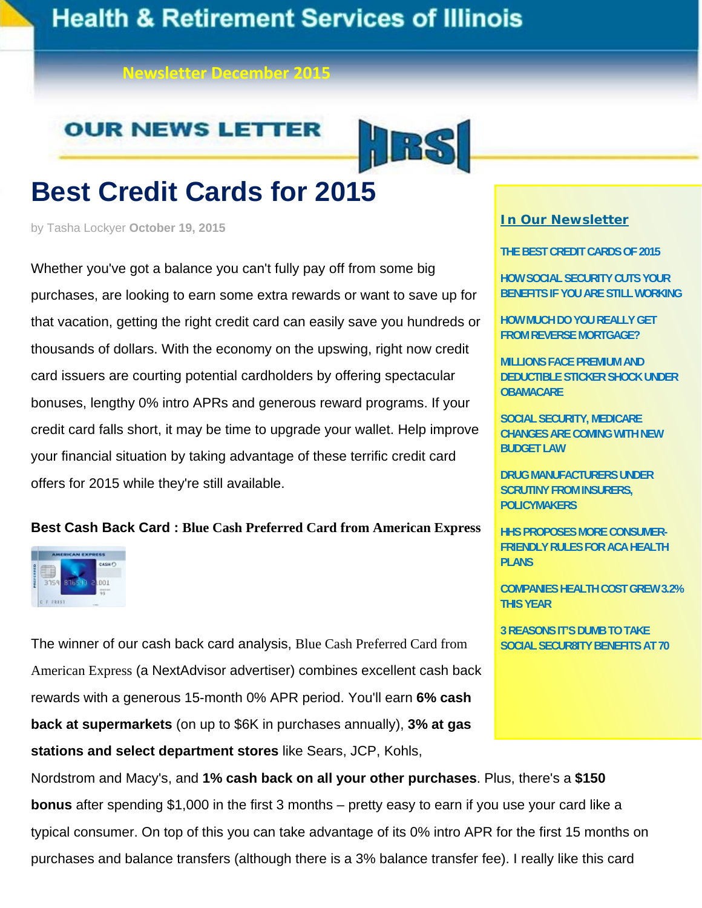## **Health & Retirement Services of Illinois**

**Newsletter December 2015**

### **OUR NEWS LETTER**



# **Best Credit Cards for 2015**

by Tasha Lockyer **October 19, 2015**

Whether you've got a balance you can't fully pay off from some big purchases, are looking to earn some extra rewards or want to save up for that vacation, getting the right credit card can easily save you hundreds or thousands of dollars. With the economy on the upswing, right now credit card issuers are courting potential cardholders by offering spectacular bonuses, lengthy 0% intro APRs and generous reward programs. If your credit card falls short, it may be time to upgrade your wallet. Help improve your financial situation by taking advantage of these terrific credit card offers for 2015 while they're still available.

**Best Cash Back Card : Blue Cash Preferred Card from American Express**



The winner of our cash back card analysis, Blue Cash Preferred Card from American Express (a NextAdvisor advertiser) combines excellent cash back rewards with a generous 15-month 0% APR period. You'll earn **6% cash back at supermarkets** (on up to \$6K in purchases annually), **3% at gas stations and select department stores** like Sears, JCP, Kohls,

Nordstrom and Macy's, and **1% cash back on all your other purchases**. Plus, there's a **\$150 bonus** after spending \$1,000 in the first 3 months – pretty easy to earn if you use your card like a typical consumer. On top of this you can take advantage of its 0% intro APR for the first 15 months on purchases and balance transfers (although there is a 3% balance transfer fee). I really like this card

### **In Our Newsletter**

**THE BEST CREDIT CARDS OF 2015** 

**HOW SOCIAL SECURITY CUTS YOUR BENEFITS IF YOU ARE STILL WORKING** 

**HOW MUCH DO YOU REALLY GET FROM REVERSE MORTGAGE?** 

**MILLIONS FACE PREMIUM AND DEDUCTIBLE STICKER SHOCK UNDER OBAMACARE** 

**SOCIAL SECURITY, MEDICARE CHANGES ARE COMING WITH NEW BUDGET LAW** 

**DRUG MANUFACTURERS UNDER SCRUTINY FROM INSURERS, POLICYMAKERS** 

**HHS PROPOSES MORE CONSUMER-FRIENDLY RULES FOR ACA HEALTH PLANS** 

**COMPANIES HEALTH COST GREW 3.2% THIS YEAR** 

**3 REASONS IT'S DUMB TO TAKE SOCIAL SECUR8ITY BENEFITS AT 70**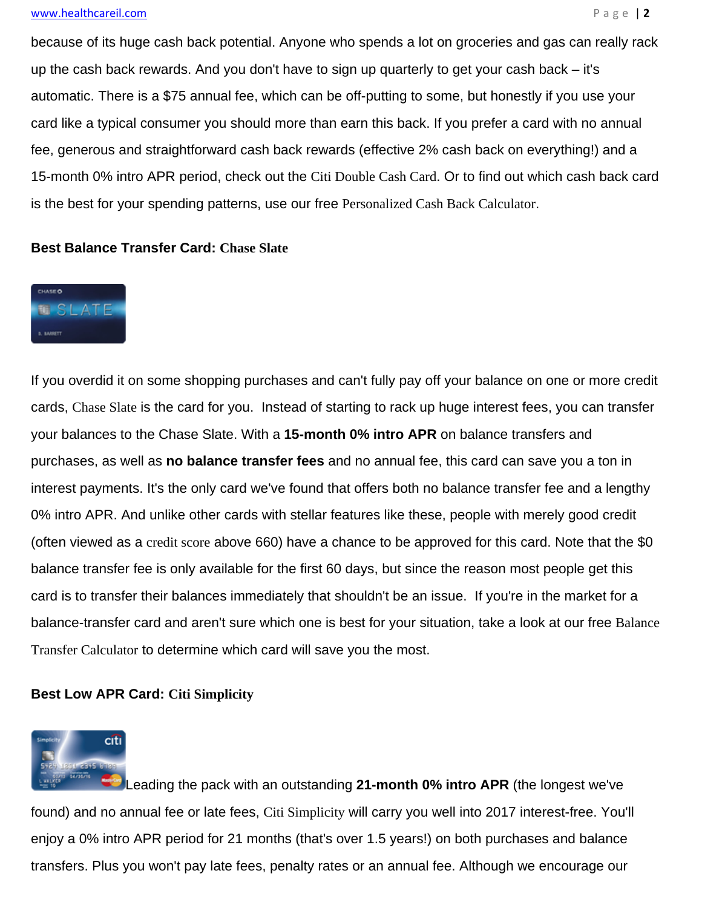#### www.healthcareil.com **Page | 2**

because of its huge cash back potential. Anyone who spends a lot on groceries and gas can really rack up the cash back rewards. And you don't have to sign up quarterly to get your cash back – it's automatic. There is a \$75 annual fee, which can be off-putting to some, but honestly if you use your card like a typical consumer you should more than earn this back. If you prefer a card with no annual fee, generous and straightforward cash back rewards (effective 2% cash back on everything!) and a 15-month 0% intro APR period, check out the Citi Double Cash Card. Or to find out which cash back card is the best for your spending patterns, use our free Personalized Cash Back Calculator.

### **Best Balance Transfer Card: Chase Slate**



If you overdid it on some shopping purchases and can't fully pay off your balance on one or more credit cards, Chase Slate is the card for you. Instead of starting to rack up huge interest fees, you can transfer your balances to the Chase Slate. With a **15-month 0% intro APR** on balance transfers and purchases, as well as **no balance transfer fees** and no annual fee, this card can save you a ton in interest payments. It's the only card we've found that offers both no balance transfer fee and a lengthy 0% intro APR. And unlike other cards with stellar features like these, people with merely good credit (often viewed as a credit score above 660) have a chance to be approved for this card. Note that the \$0 balance transfer fee is only available for the first 60 days, but since the reason most people get this card is to transfer their balances immediately that shouldn't be an issue. If you're in the market for a balance-transfer card and aren't sure which one is best for your situation, take a look at our free Balance Transfer Calculator to determine which card will save you the most.

### **Best Low APR Card: Citi Simplicity**

citi

**Leading the pack with an outstanding 21-month 0% intro APR** (the longest we've found) and no annual fee or late fees, Citi Simplicity will carry you well into 2017 interest-free. You'll enjoy a 0% intro APR period for 21 months (that's over 1.5 years!) on both purchases and balance transfers. Plus you won't pay late fees, penalty rates or an annual fee. Although we encourage our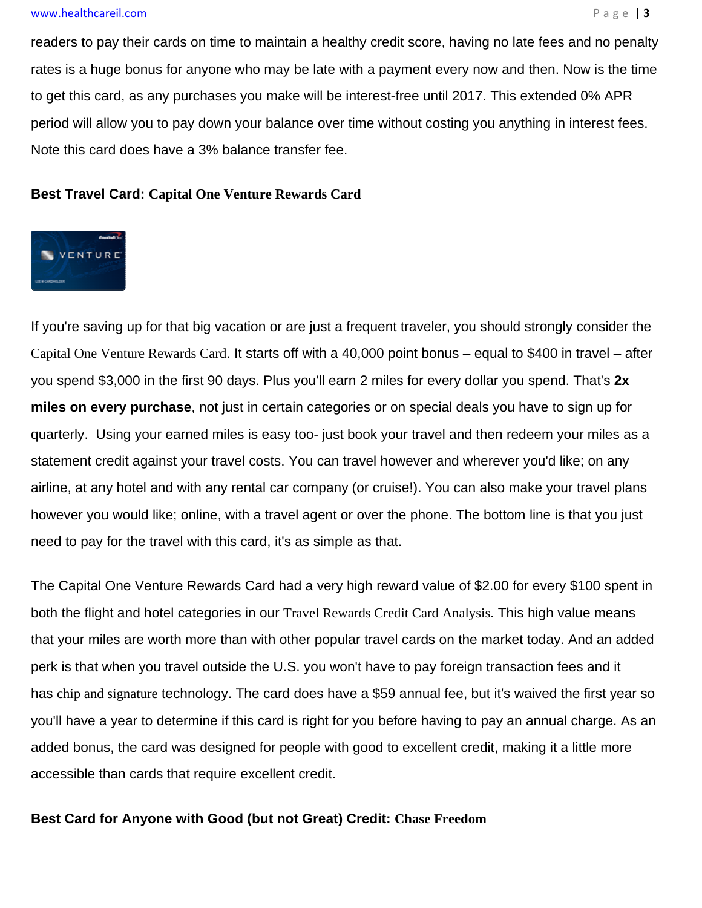#### www.healthcareil.com **Page | 3**

readers to pay their cards on time to maintain a healthy credit score, having no late fees and no penalty rates is a huge bonus for anyone who may be late with a payment every now and then. Now is the time to get this card, as any purchases you make will be interest-free until 2017. This extended 0% APR period will allow you to pay down your balance over time without costing you anything in interest fees. Note this card does have a 3% balance transfer fee.

#### **Best Travel Card: Capital One Venture Rewards Card**



If you're saving up for that big vacation or are just a frequent traveler, you should strongly consider the Capital One Venture Rewards Card. It starts off with a 40,000 point bonus – equal to \$400 in travel – after you spend \$3,000 in the first 90 days. Plus you'll earn 2 miles for every dollar you spend. That's **2x miles on every purchase**, not just in certain categories or on special deals you have to sign up for quarterly. Using your earned miles is easy too- just book your travel and then redeem your miles as a statement credit against your travel costs. You can travel however and wherever you'd like; on any airline, at any hotel and with any rental car company (or cruise!). You can also make your travel plans however you would like; online, with a travel agent or over the phone. The bottom line is that you just need to pay for the travel with this card, it's as simple as that.

The Capital One Venture Rewards Card had a very high reward value of \$2.00 for every \$100 spent in both the flight and hotel categories in our Travel Rewards Credit Card Analysis. This high value means that your miles are worth more than with other popular travel cards on the market today. And an added perk is that when you travel outside the U.S. you won't have to pay foreign transaction fees and it has chip and signature technology. The card does have a \$59 annual fee, but it's waived the first year so you'll have a year to determine if this card is right for you before having to pay an annual charge. As an added bonus, the card was designed for people with good to excellent credit, making it a little more accessible than cards that require excellent credit.

### **Best Card for Anyone with Good (but not Great) Credit: Chase Freedom**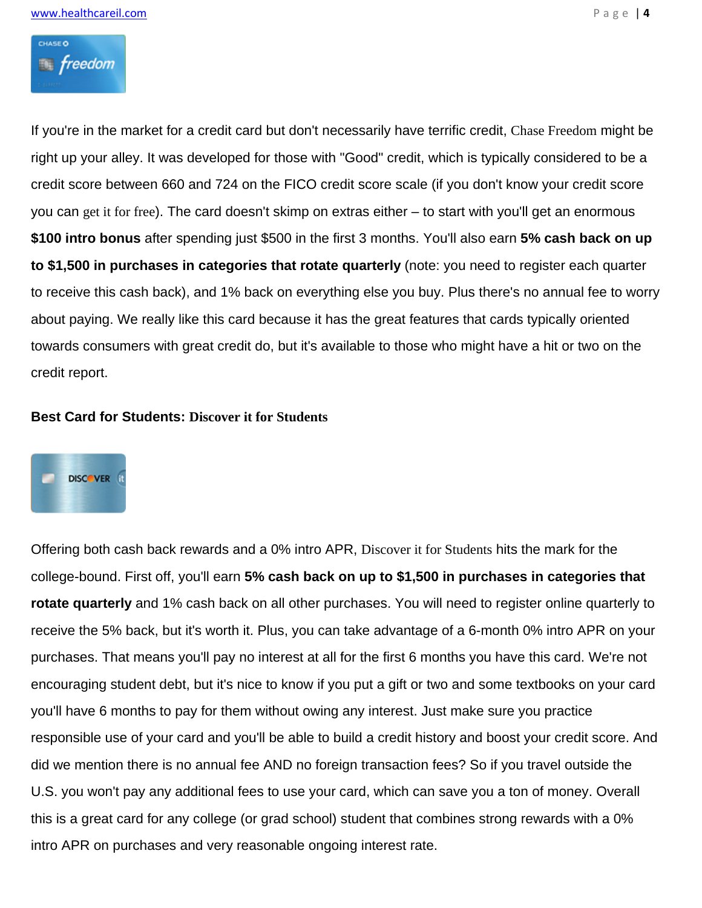

If you're in the market for a credit card but don't necessarily have terrific credit, Chase Freedom might be right up your alley. It was developed for those with "Good" credit, which is typically considered to be a credit score between 660 and 724 on the FICO credit score scale (if you don't know your credit score you can get it for free). The card doesn't skimp on extras either – to start with you'll get an enormous **\$100 intro bonus** after spending just \$500 in the first 3 months. You'll also earn **5% cash back on up to \$1,500 in purchases in categories that rotate quarterly** (note: you need to register each quarter to receive this cash back), and 1% back on everything else you buy. Plus there's no annual fee to worry about paying. We really like this card because it has the great features that cards typically oriented towards consumers with great credit do, but it's available to those who might have a hit or two on the credit report.

### **Best Card for Students: Discover it for Students**



Offering both cash back rewards and a 0% intro APR, Discover it for Students hits the mark for the college-bound. First off, you'll earn **5% cash back on up to \$1,500 in purchases in categories that rotate quarterly** and 1% cash back on all other purchases. You will need to register online quarterly to receive the 5% back, but it's worth it. Plus, you can take advantage of a 6-month 0% intro APR on your purchases. That means you'll pay no interest at all for the first 6 months you have this card. We're not encouraging student debt, but it's nice to know if you put a gift or two and some textbooks on your card you'll have 6 months to pay for them without owing any interest. Just make sure you practice responsible use of your card and you'll be able to build a credit history and boost your credit score. And did we mention there is no annual fee AND no foreign transaction fees? So if you travel outside the U.S. you won't pay any additional fees to use your card, which can save you a ton of money. Overall this is a great card for any college (or grad school) student that combines strong rewards with a 0% intro APR on purchases and very reasonable ongoing interest rate.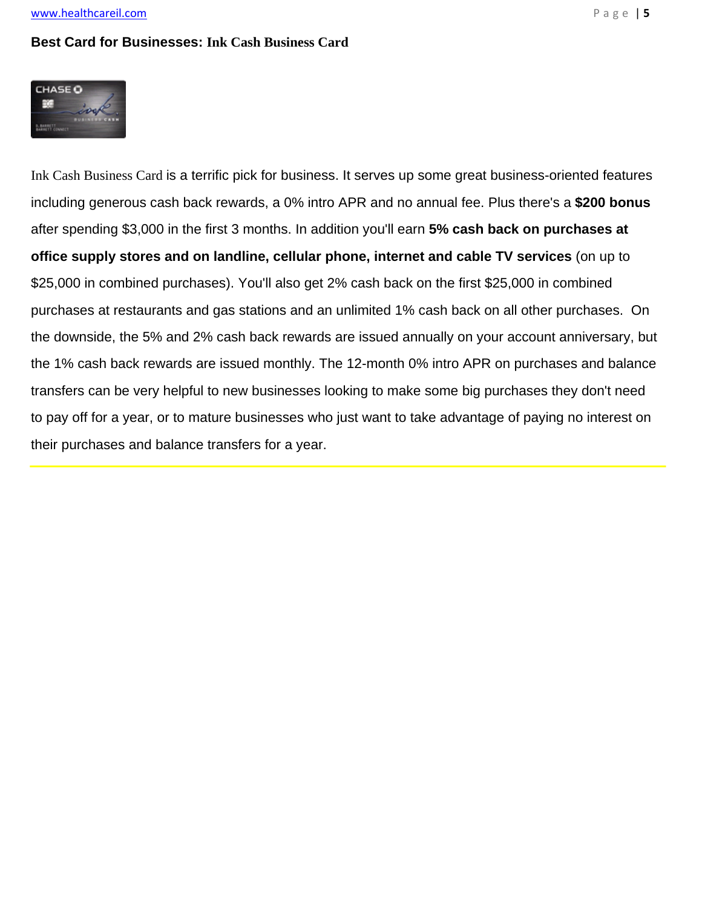### **Best Card for Businesses: Ink Cash Business Card**



Ink Cash Business Card is a terrific pick for business. It serves up some great business-oriented features including generous cash back rewards, a 0% intro APR and no annual fee. Plus there's a **\$200 bonus** after spending \$3,000 in the first 3 months. In addition you'll earn **5% cash back on purchases at office supply stores and on landline, cellular phone, internet and cable TV services** (on up to \$25,000 in combined purchases). You'll also get 2% cash back on the first \$25,000 in combined purchases at restaurants and gas stations and an unlimited 1% cash back on all other purchases. On the downside, the 5% and 2% cash back rewards are issued annually on your account anniversary, but the 1% cash back rewards are issued monthly. The 12-month 0% intro APR on purchases and balance transfers can be very helpful to new businesses looking to make some big purchases they don't need to pay off for a year, or to mature businesses who just want to take advantage of paying no interest on their purchases and balance transfers for a year.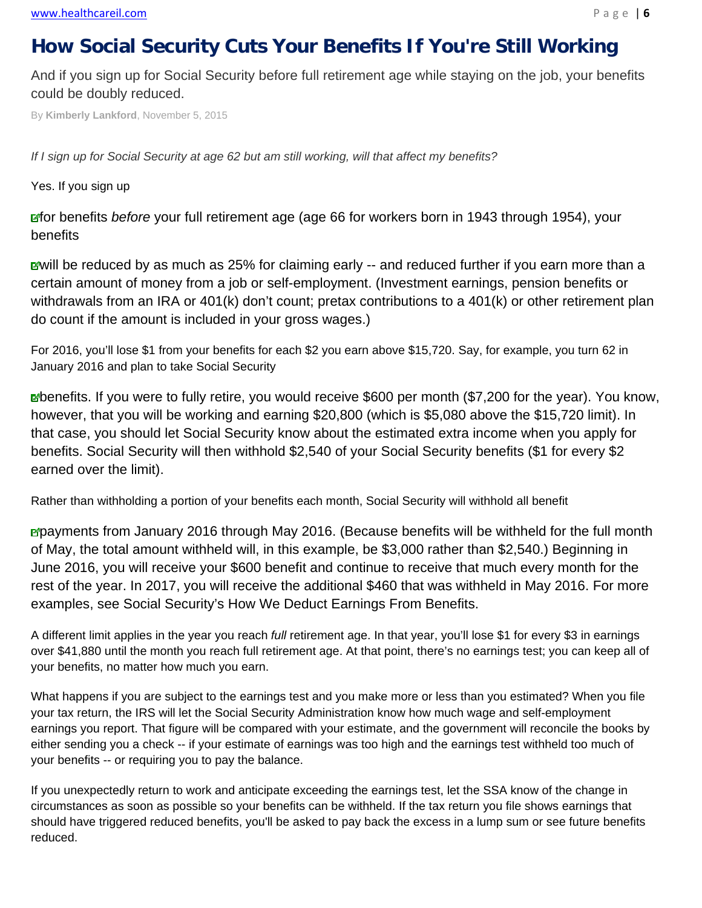### **How Social Security Cuts Your Benefits If You're Still Working**

And if you sign up for Social Security before full retirement age while staying on the job, your benefits could be doubly reduced.

By **Kimberly Lankford**, November 5, 2015

*If I sign up for Social Security at age 62 but am still working, will that affect my benefits?*

Yes. If you sign up

**E**for benefits *before* your full retirement age (age 66 for workers born in 1943 through 1954), your **benefits** 

**E**will be reduced by as much as 25% for claiming early -- and reduced further if you earn more than a certain amount of money from a job or self-employment. (Investment earnings, pension benefits or withdrawals from an IRA or 401(k) don't count; pretax contributions to a 401(k) or other retirement plan do count if the amount is included in your gross wages.)

For 2016, you'll lose \$1 from your benefits for each \$2 you earn above \$15,720. Say, for example, you turn 62 in January 2016 and plan to take Social Security

**B** benefits. If you were to fully retire, you would receive \$600 per month (\$7,200 for the year). You know, however, that you will be working and earning \$20,800 (which is \$5,080 above the \$15,720 limit). In that case, you should let Social Security know about the estimated extra income when you apply for benefits. Social Security will then withhold \$2,540 of your Social Security benefits (\$1 for every \$2 earned over the limit).

Rather than withholding a portion of your benefits each month, Social Security will withhold all benefit

**Payments from January 2016 through May 2016. (Because benefits will be withheld for the full month** of May, the total amount withheld will, in this example, be \$3,000 rather than \$2,540.) Beginning in June 2016, you will receive your \$600 benefit and continue to receive that much every month for the rest of the year. In 2017, you will receive the additional \$460 that was withheld in May 2016. For more examples, see Social Security's How We Deduct Earnings From Benefits.

A different limit applies in the year you reach *full* retirement age. In that year, you'll lose \$1 for every \$3 in earnings over \$41,880 until the month you reach full retirement age. At that point, there's no earnings test; you can keep all of your benefits, no matter how much you earn.

What happens if you are subject to the earnings test and you make more or less than you estimated? When you file your tax return, the IRS will let the Social Security Administration know how much wage and self-employment earnings you report. That figure will be compared with your estimate, and the government will reconcile the books by either sending you a check -- if your estimate of earnings was too high and the earnings test withheld too much of your benefits -- or requiring you to pay the balance.

If you unexpectedly return to work and anticipate exceeding the earnings test, let the SSA know of the change in circumstances as soon as possible so your benefits can be withheld. If the tax return you file shows earnings that should have triggered reduced benefits, you'll be asked to pay back the excess in a lump sum or see future benefits reduced.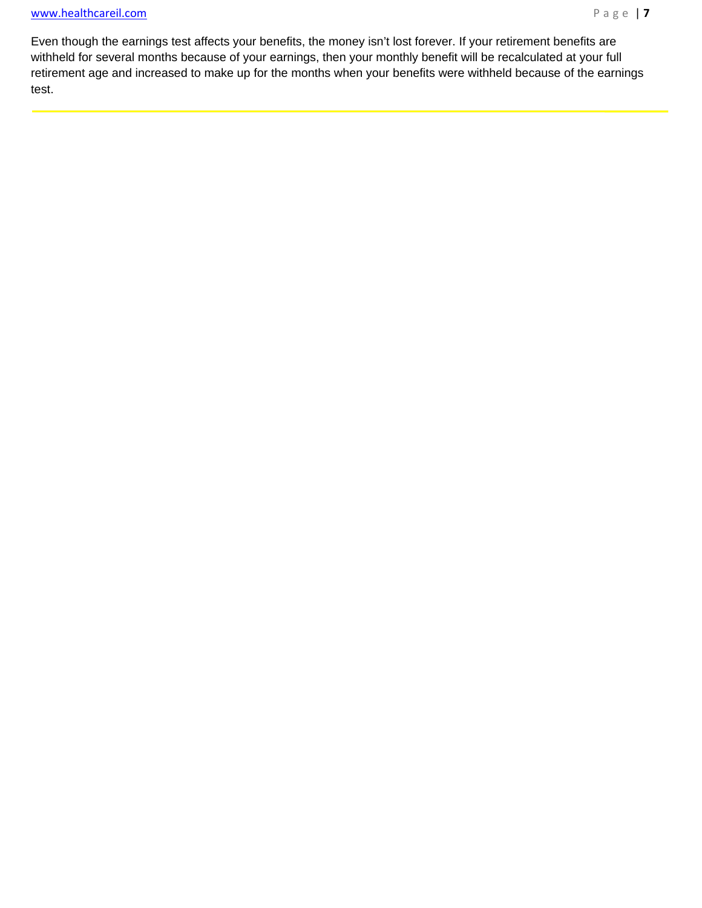Even though the earnings test affects your benefits, the money isn't lost forever. If your retirement benefits are withheld for several months because of your earnings, then your monthly benefit will be recalculated at your full retirement age and increased to make up for the months when your benefits were withheld because of the earnings test.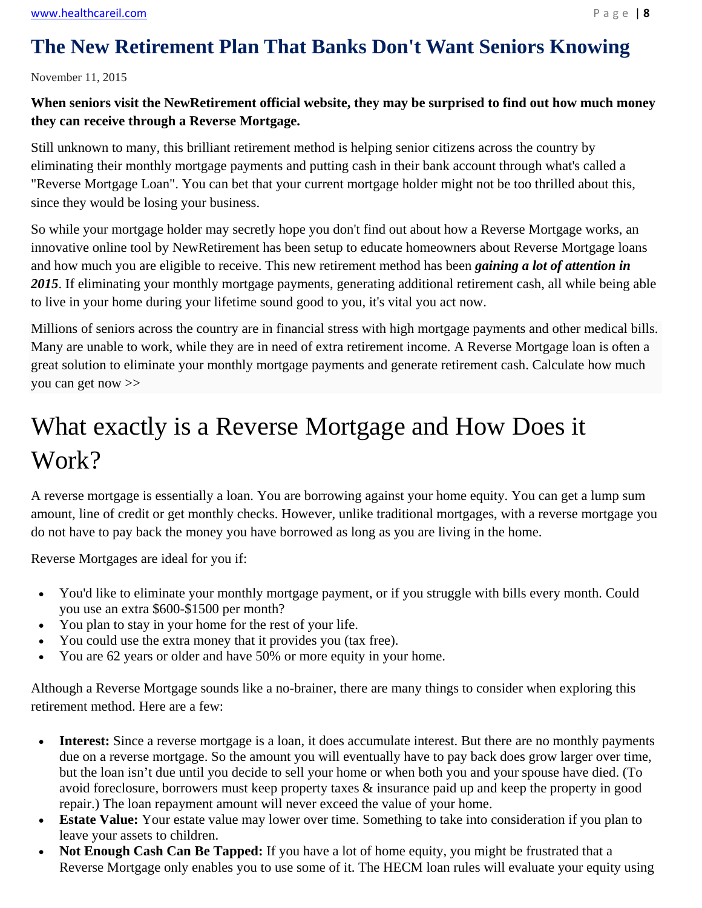## **The New Retirement Plan That Banks Don't Want Seniors Knowing**

November 11, 2015

### **When seniors visit the NewRetirement official website, they may be surprised to find out how much money they can receive through a Reverse Mortgage.**

Still unknown to many, this brilliant retirement method is helping senior citizens across the country by eliminating their monthly mortgage payments and putting cash in their bank account through what's called a "Reverse Mortgage Loan". You can bet that your current mortgage holder might not be too thrilled about this, since they would be losing your business.

So while your mortgage holder may secretly hope you don't find out about how a Reverse Mortgage works, an innovative online tool by NewRetirement has been setup to educate homeowners about Reverse Mortgage loans and how much you are eligible to receive. This new retirement method has been *gaining a lot of attention in 2015*. If eliminating your monthly mortgage payments, generating additional retirement cash, all while being able to live in your home during your lifetime sound good to you, it's vital you act now.

Millions of seniors across the country are in financial stress with high mortgage payments and other medical bills. Many are unable to work, while they are in need of extra retirement income. A Reverse Mortgage loan is often a great solution to eliminate your monthly mortgage payments and generate retirement cash. Calculate how much you can get now >>

# What exactly is a Reverse Mortgage and How Does it Work?

A reverse mortgage is essentially a loan. You are borrowing against your home equity. You can get a lump sum amount, line of credit or get monthly checks. However, unlike traditional mortgages, with a reverse mortgage you do not have to pay back the money you have borrowed as long as you are living in the home.

Reverse Mortgages are ideal for you if:

- You'd like to eliminate your monthly mortgage payment, or if you struggle with bills every month. Could you use an extra \$600-\$1500 per month?
- You plan to stay in your home for the rest of your life.
- You could use the extra money that it provides you (tax free).
- You are 62 years or older and have 50% or more equity in your home.

Although a Reverse Mortgage sounds like a no-brainer, there are many things to consider when exploring this retirement method. Here are a few:

- Interest: Since a reverse mortgage is a loan, it does accumulate interest. But there are no monthly payments due on a reverse mortgage. So the amount you will eventually have to pay back does grow larger over time, but the loan isn't due until you decide to sell your home or when both you and your spouse have died. (To avoid foreclosure, borrowers must keep property taxes & insurance paid up and keep the property in good repair.) The loan repayment amount will never exceed the value of your home.
- **Estate Value:** Your estate value may lower over time. Something to take into consideration if you plan to leave your assets to children.
- Not Enough Cash Can Be Tapped: If you have a lot of home equity, you might be frustrated that a Reverse Mortgage only enables you to use some of it. The HECM loan rules will evaluate your equity using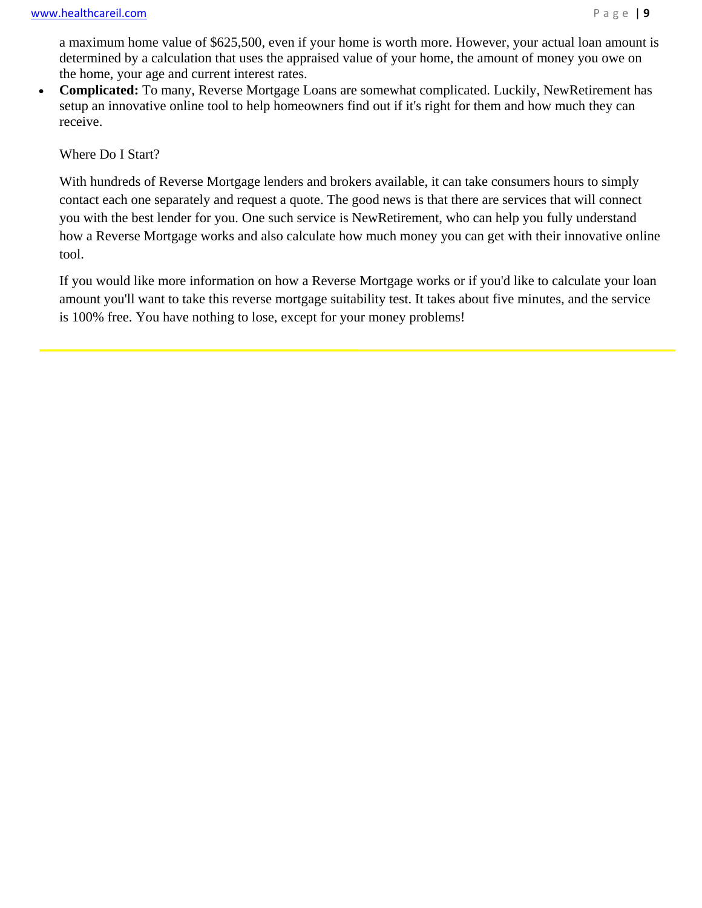a maximum home value of \$625,500, even if your home is worth more. However, your actual loan amount is determined by a calculation that uses the appraised value of your home, the amount of money you owe on the home, your age and current interest rates.

 **Complicated:** To many, Reverse Mortgage Loans are somewhat complicated. Luckily, NewRetirement has setup an innovative online tool to help homeowners find out if it's right for them and how much they can receive.

Where Do I Start?

With hundreds of Reverse Mortgage lenders and brokers available, it can take consumers hours to simply contact each one separately and request a quote. The good news is that there are services that will connect you with the best lender for you. One such service is NewRetirement, who can help you fully understand how a Reverse Mortgage works and also calculate how much money you can get with their innovative online tool.

If you would like more information on how a Reverse Mortgage works or if you'd like to calculate your loan amount you'll want to take this reverse mortgage suitability test. It takes about five minutes, and the service is 100% free. You have nothing to lose, except for your money problems!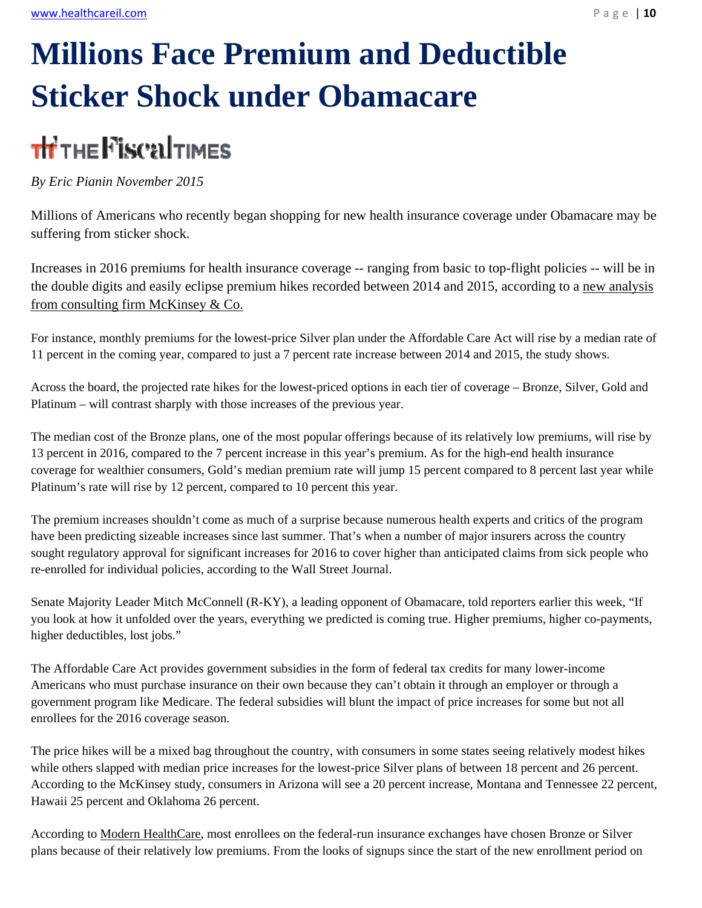# **Millions Face Premium and Deductible Sticker Shock under Obamacare**

# **THE FISCALLIMES**

*By Eric Pianin November 2015*

Millions of Americans who recently began shopping for new health insurance coverage under Obamacare may be suffering from sticker shock.

Increases in 2016 premiums for health insurance coverage -- ranging from basic to top-flight policies -- will be in the double digits and easily eclipse premium hikes recorded between 2014 and 2015, according to a new analysis from consulting firm McKinsey & Co.

For instance, monthly premiums for the lowest-price Silver plan under the Affordable Care Act will rise by a median rate of 11 percent in the coming year, compared to just a 7 percent rate increase between 2014 and 2015, the study shows.

Across the board, the projected rate hikes for the lowest-priced options in each tier of coverage – Bronze, Silver, Gold and Platinum – will contrast sharply with those increases of the previous year.

The median cost of the Bronze plans, one of the most popular offerings because of its relatively low premiums, will rise by 13 percent in 2016, compared to the 7 percent increase in this year's premium. As for the high-end health insurance coverage for wealthier consumers, Gold's median premium rate will jump 15 percent compared to 8 percent last year while Platinum's rate will rise by 12 percent, compared to 10 percent this year.

The premium increases shouldn't come as much of a surprise because numerous health experts and critics of the program have been predicting sizeable increases since last summer. That's when a number of major insurers across the country sought regulatory approval for significant increases for 2016 to cover higher than anticipated claims from sick people who re-enrolled for individual policies, according to the Wall Street Journal.

Senate Majority Leader Mitch McConnell (R-KY), a leading opponent of Obamacare, told reporters earlier this week, "If you look at how it unfolded over the years, everything we predicted is coming true. Higher premiums, higher co-payments, higher deductibles, lost jobs."

The Affordable Care Act provides government subsidies in the form of federal tax credits for many lower-income Americans who must purchase insurance on their own because they can't obtain it through an employer or through a government program like Medicare. The federal subsidies will blunt the impact of price increases for some but not all enrollees for the 2016 coverage season.

The price hikes will be a mixed bag throughout the country, with consumers in some states seeing relatively modest hikes while others slapped with median price increases for the lowest-price Silver plans of between 18 percent and 26 percent. According to the McKinsey study, consumers in Arizona will see a 20 percent increase, Montana and Tennessee 22 percent, Hawaii 25 percent and Oklahoma 26 percent.

According to Modern HealthCare, most enrollees on the federal-run insurance exchanges have chosen Bronze or Silver plans because of their relatively low premiums. From the looks of signups since the start of the new enrollment period on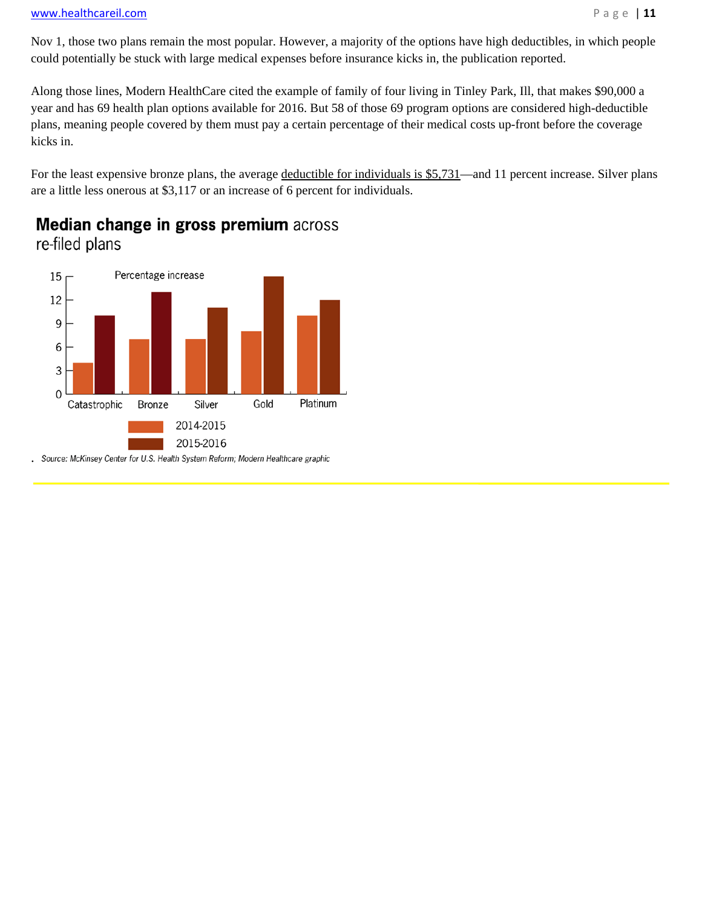Nov 1, those two plans remain the most popular. However, a majority of the options have high deductibles, in which people could potentially be stuck with large medical expenses before insurance kicks in, the publication reported.

Along those lines, Modern HealthCare cited the example of family of four living in Tinley Park, Ill, that makes \$90,000 a year and has 69 health plan options available for 2016. But 58 of those 69 program options are considered high-deductible plans, meaning people covered by them must pay a certain percentage of their medical costs up-front before the coverage kicks in.

For the least expensive bronze plans, the average deductible for individuals is \$5,731—and 11 percent increase. Silver plans are a little less onerous at \$3,117 or an increase of 6 percent for individuals.



### Median change in gross premium across re-filed plans

. Source: McKinsey Center for U.S. Health System Reform; Modern Healthcare graphic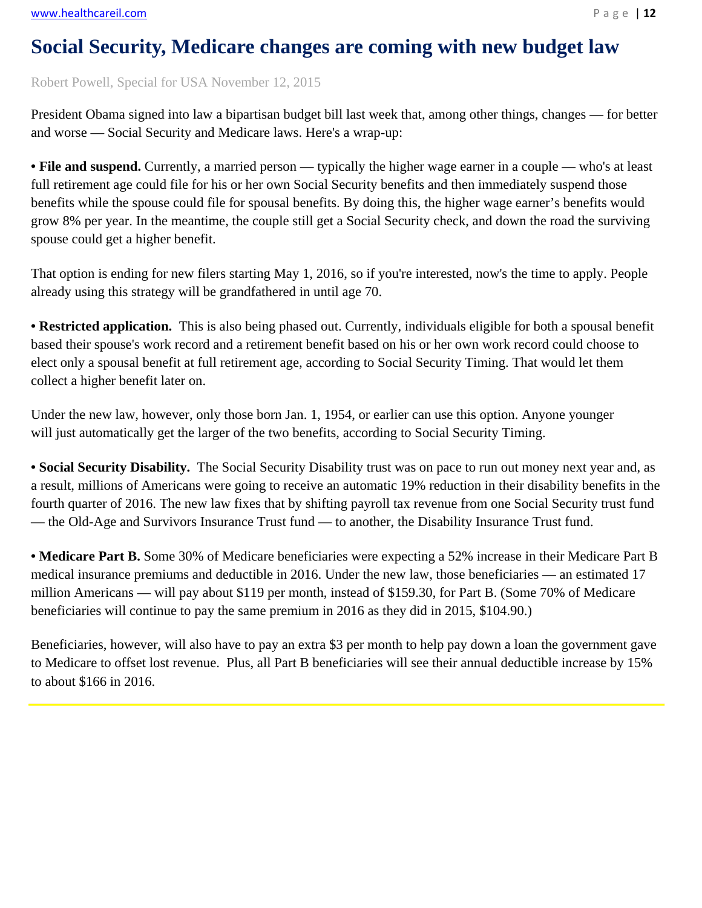### **Social Security, Medicare changes are coming with new budget law**

Robert Powell, Special for USA November 12, 2015

President Obama signed into law a bipartisan budget bill last week that, among other things, changes — for better and worse — Social Security and Medicare laws. Here's a wrap-up:

• File and suspend. Currently, a married person — typically the higher wage earner in a couple — who's at least full retirement age could file for his or her own Social Security benefits and then immediately suspend those benefits while the spouse could file for spousal benefits. By doing this, the higher wage earner's benefits would grow 8% per year. In the meantime, the couple still get a Social Security check, and down the road the surviving spouse could get a higher benefit.

That option is ending for new filers starting May 1, 2016, so if you're interested, now's the time to apply. People already using this strategy will be grandfathered in until age 70.

**• Restricted application.** This is also being phased out. Currently, individuals eligible for both a spousal benefit based their spouse's work record and a retirement benefit based on his or her own work record could choose to elect only a spousal benefit at full retirement age, according to Social Security Timing. That would let them collect a higher benefit later on.

Under the new law, however, only those born Jan. 1, 1954, or earlier can use this option. Anyone younger will just automatically get the larger of the two benefits, according to Social Security Timing.

**• Social Security Disability.** The Social Security Disability trust was on pace to run out money next year and, as a result, millions of Americans were going to receive an automatic 19% reduction in their disability benefits in the fourth quarter of 2016. The new law fixes that by shifting payroll tax revenue from one Social Security trust fund — the Old-Age and Survivors Insurance Trust fund — to another, the Disability Insurance Trust fund.

**• Medicare Part B.** Some 30% of Medicare beneficiaries were expecting a 52% increase in their Medicare Part B medical insurance premiums and deductible in 2016. Under the new law, those beneficiaries — an estimated 17 million Americans — will pay about \$119 per month, instead of \$159.30, for Part B. (Some 70% of Medicare beneficiaries will continue to pay the same premium in 2016 as they did in 2015, \$104.90.)

Beneficiaries, however, will also have to pay an extra \$3 per month to help pay down a loan the government gave to Medicare to offset lost revenue. Plus, all Part B beneficiaries will see their annual deductible increase by 15% to about \$166 in 2016.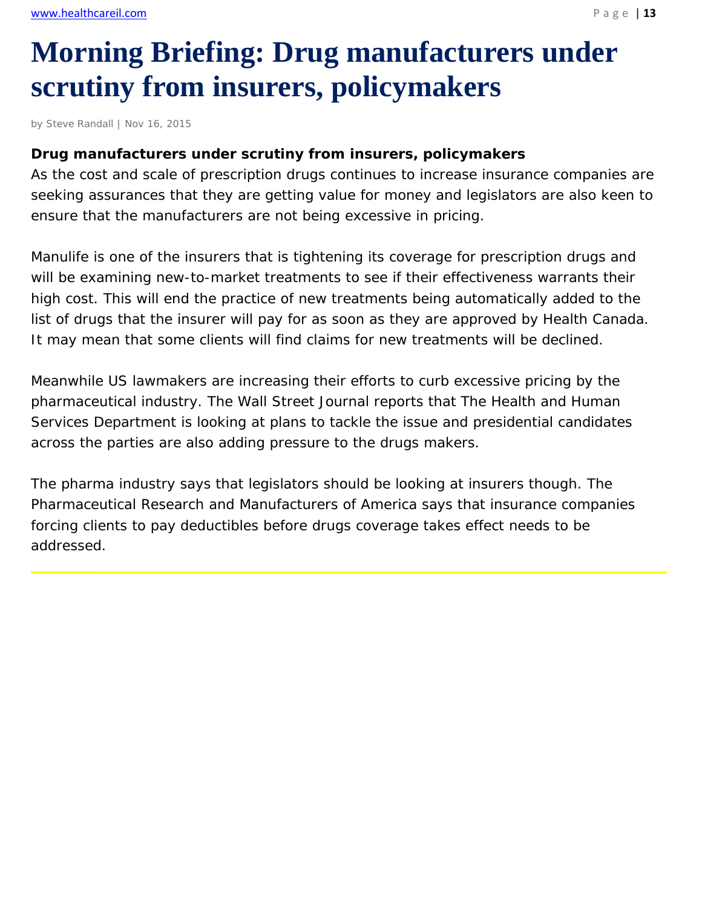# **Morning Briefing: Drug manufacturers under scrutiny from insurers, policymakers**

by Steve Randall | Nov 16, 2015

### **Drug manufacturers under scrutiny from insurers, policymakers**

As the cost and scale of prescription drugs continues to increase insurance companies are seeking assurances that they are getting value for money and legislators are also keen to ensure that the manufacturers are not being excessive in pricing.

Manulife is one of the insurers that is tightening its coverage for prescription drugs and will be examining new-to-market treatments to see if their effectiveness warrants their high cost. This will end the practice of new treatments being automatically added to the list of drugs that the insurer will pay for as soon as they are approved by Health Canada. It may mean that some clients will find claims for new treatments will be declined.

Meanwhile US lawmakers are increasing their efforts to curb excessive pricing by the pharmaceutical industry. The Wall Street Journal reports that The Health and Human Services Department is looking at plans to tackle the issue and presidential candidates across the parties are also adding pressure to the drugs makers.

The pharma industry says that legislators should be looking at insurers though. The Pharmaceutical Research and Manufacturers of America says that insurance companies forcing clients to pay deductibles before drugs coverage takes effect needs to be addressed.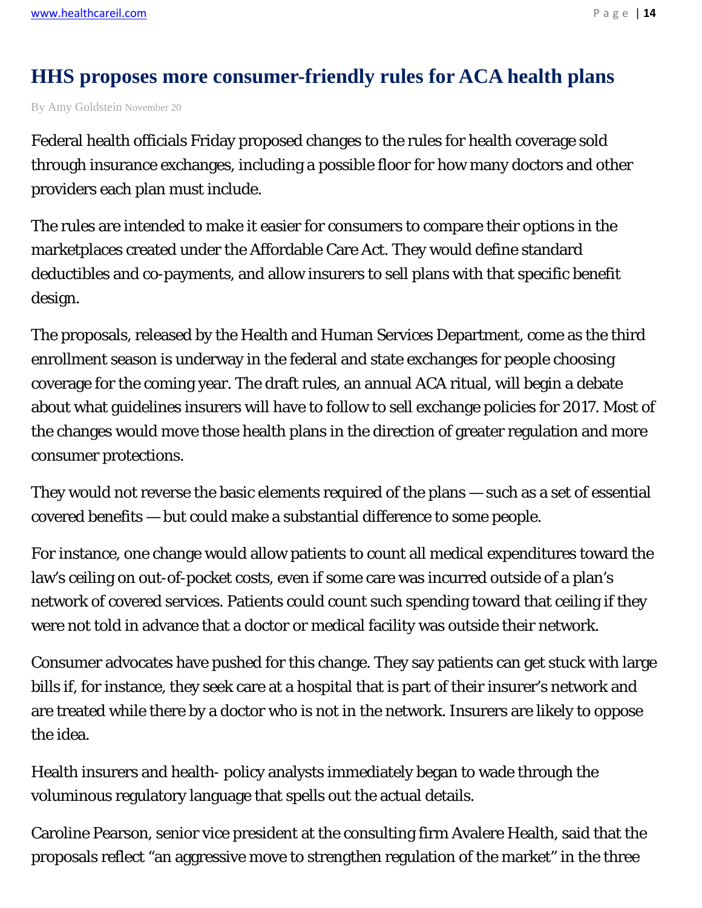### **HHS proposes more consumer-friendly rules for ACA health plans**

By Amy Goldstein November 20

Federal health officials Friday proposed changes to the rules for health coverage sold through insurance exchanges, including a possible floor for how many doctors and other providers each plan must include.

The rules are intended to make it easier for consumers to compare their options in the marketplaces created under the Affordable Care Act. They would define standard deductibles and co-payments, and allow insurers to sell plans with that specific benefit design.

The proposals, released by the Health and Human Services Department, come as the third enrollment season is underway in the federal and state exchanges for people choosing coverage for the coming year. The draft rules, an annual ACA ritual, will begin a debate about what guidelines insurers will have to follow to sell exchange policies for 2017. Most of the changes would move those health plans in the direction of greater regulation and more consumer protections.

They would not reverse the basic elements required of the plans — such as a set of essential covered benefits — but could make a substantial difference to some people.

For instance, one change would allow patients to count all medical expenditures toward the law's ceiling on out-of-pocket costs, even if some care was incurred outside of a plan's network of covered services. Patients could count such spending toward that ceiling if they were not told in advance that a doctor or medical facility was outside their network.

Consumer advocates have pushed for this change. They say patients can get stuck with large bills if, for instance, they seek care at a hospital that is part of their insurer's network and are treated while there by a doctor who is not in the network. Insurers are likely to oppose the idea.

Health insurers and health- policy analysts immediately began to wade through the voluminous regulatory language that spells out the actual details.

Caroline Pearson, senior vice president at the consulting firm Avalere Health, said that the proposals reflect "an aggressive move to strengthen regulation of the market" in the three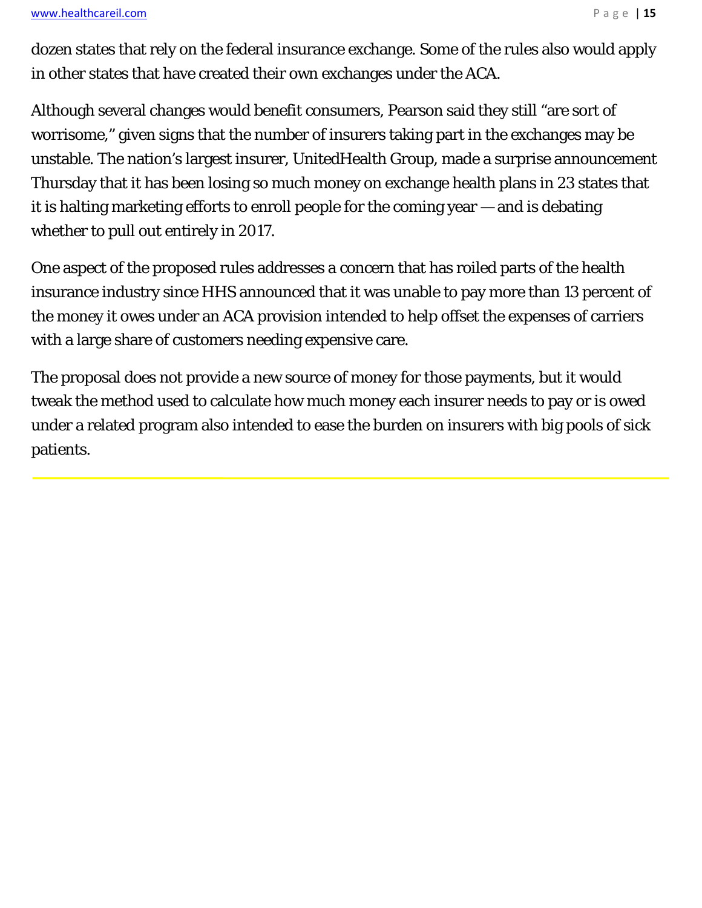#### www.healthcareil.com **Page | 15**

j

Although several changes would benefit consumers, Pearson said they still "are sort of worrisome," given signs that the number of insurers taking part in the exchanges may be unstable. The nation's largest insurer, UnitedHealth Group, made a surprise announcement Thursday that it has been losing so much money on exchange health plans in 23 states that it is halting marketing efforts to enroll people for the coming year — and is debating whether to pull out entirely in 2017.

One aspect of the proposed rules addresses a concern that has roiled parts of the health insurance industry since HHS announced that it was unable to pay more than 13 percent of the money it owes under an ACA provision intended to help offset the expenses of carriers with a large share of customers needing expensive care.

The proposal does not provide a new source of money for those payments, but it would tweak the method used to calculate how much money each insurer needs to pay or is owed under a related program also intended to ease the burden on insurers with big pools of sick patients.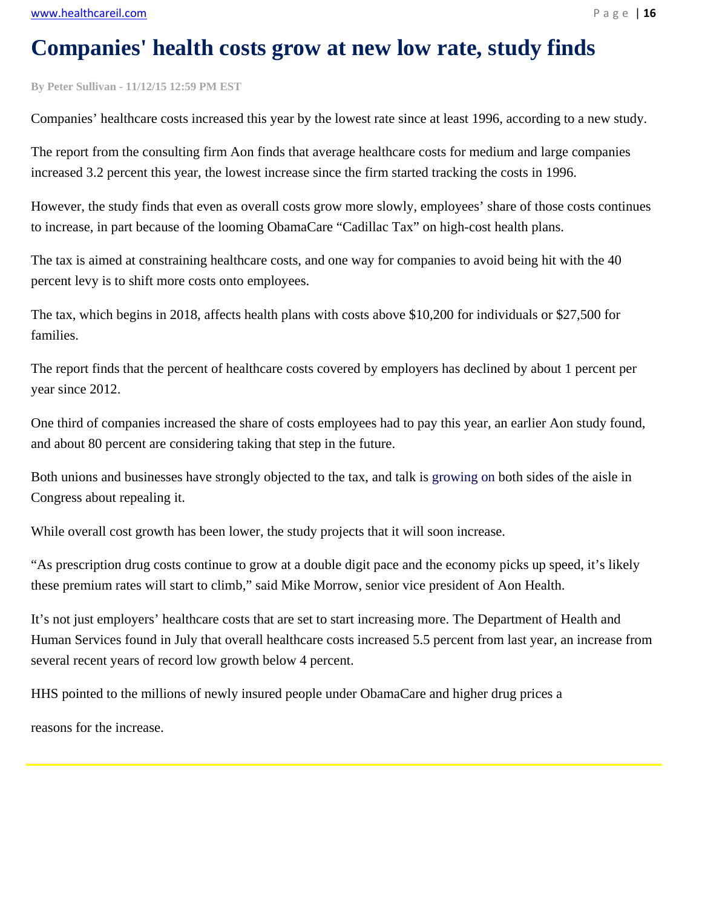## **Companies' health costs grow at new low rate, study finds**

**By Peter Sullivan - 11/12/15 12:59 PM EST** 

Companies' healthcare costs increased this year by the lowest rate since at least 1996, according to a new study.

The report from the consulting firm Aon finds that average healthcare costs for medium and large companies increased 3.2 percent this year, the lowest increase since the firm started tracking the costs in 1996.

However, the study finds that even as overall costs grow more slowly, employees' share of those costs continues to increase, in part because of the looming ObamaCare "Cadillac Tax" on high-cost health plans.

The tax is aimed at constraining healthcare costs, and one way for companies to avoid being hit with the 40 percent levy is to shift more costs onto employees.

The tax, which begins in 2018, affects health plans with costs above \$10,200 for individuals or \$27,500 for families.

The report finds that the percent of healthcare costs covered by employers has declined by about 1 percent per year since 2012.

One third of companies increased the share of costs employees had to pay this year, an earlier Aon study found, and about 80 percent are considering taking that step in the future.

Both unions and businesses have strongly objected to the tax, and talk is growing on both sides of the aisle in Congress about repealing it.

While overall cost growth has been lower, the study projects that it will soon increase.

"As prescription drug costs continue to grow at a double digit pace and the economy picks up speed, it's likely these premium rates will start to climb," said Mike Morrow, senior vice president of Aon Health.

It's not just employers' healthcare costs that are set to start increasing more. The Department of Health and Human Services found in July that overall healthcare costs increased 5.5 percent from last year, an increase from several recent years of record low growth below 4 percent.

HHS pointed to the millions of newly insured people under ObamaCare and higher drug prices a

reasons for the increase.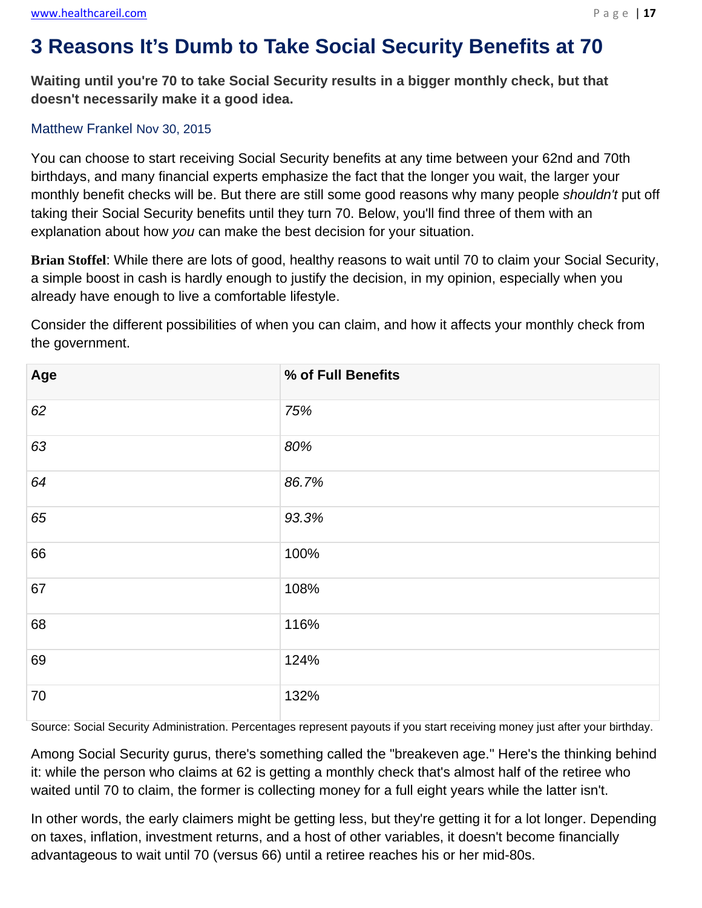### **3 Reasons It's Dumb to Take Social Security Benefits at 70**

**Waiting until you're 70 to take Social Security results in a bigger monthly check, but that doesn't necessarily make it a good idea.** 

### Matthew Frankel Nov 30, 2015

You can choose to start receiving Social Security benefits at any time between your 62nd and 70th birthdays, and many financial experts emphasize the fact that the longer you wait, the larger your monthly benefit checks will be. But there are still some good reasons why many people *shouldn't* put off taking their Social Security benefits until they turn 70. Below, you'll find three of them with an explanation about how *you* can make the best decision for your situation.

**Brian Stoffel**: While there are lots of good, healthy reasons to wait until 70 to claim your Social Security, a simple boost in cash is hardly enough to justify the decision, in my opinion, especially when you already have enough to live a comfortable lifestyle.

Consider the different possibilities of when you can claim, and how it affects your monthly check from the government.

| Age | % of Full Benefits |
|-----|--------------------|
| 62  | 75%                |
| 63  | 80%                |
| 64  | 86.7%              |
| 65  | 93.3%              |
| 66  | 100%               |
| 67  | 108%               |
| 68  | 116%               |
| 69  | 124%               |
| 70  | 132%               |

Source: Social Security Administration. Percentages represent payouts if you start receiving money just after your birthday.

Among Social Security gurus, there's something called the "breakeven age." Here's the thinking behind it: while the person who claims at 62 is getting a monthly check that's almost half of the retiree who waited until 70 to claim, the former is collecting money for a full eight years while the latter isn't.

In other words, the early claimers might be getting less, but they're getting it for a lot longer. Depending on taxes, inflation, investment returns, and a host of other variables, it doesn't become financially advantageous to wait until 70 (versus 66) until a retiree reaches his or her mid-80s.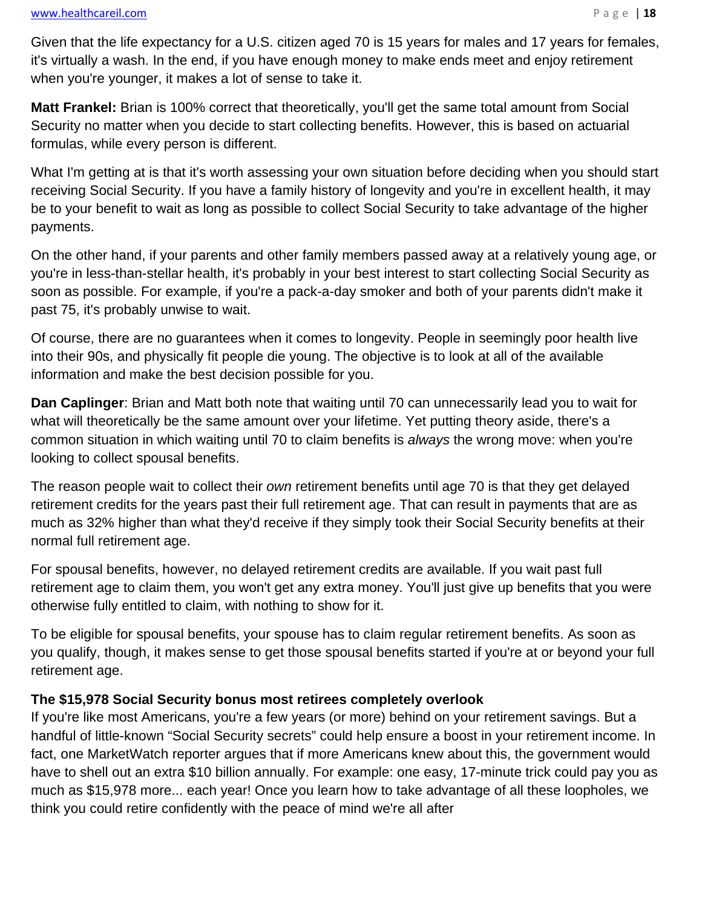Given that the life expectancy for a U.S. citizen aged 70 is 15 years for males and 17 years for females, it's virtually a wash. In the end, if you have enough money to make ends meet and enjoy retirement when you're younger, it makes a lot of sense to take it.

**Matt Frankel:** Brian is 100% correct that theoretically, you'll get the same total amount from Social Security no matter when you decide to start collecting benefits. However, this is based on actuarial formulas, while every person is different.

What I'm getting at is that it's worth assessing your own situation before deciding when you should start receiving Social Security. If you have a family history of longevity and you're in excellent health, it may be to your benefit to wait as long as possible to collect Social Security to take advantage of the higher payments.

On the other hand, if your parents and other family members passed away at a relatively young age, or you're in less-than-stellar health, it's probably in your best interest to start collecting Social Security as soon as possible. For example, if you're a pack-a-day smoker and both of your parents didn't make it past 75, it's probably unwise to wait.

Of course, there are no guarantees when it comes to longevity. People in seemingly poor health live into their 90s, and physically fit people die young. The objective is to look at all of the available information and make the best decision possible for you.

**Dan Caplinger**: Brian and Matt both note that waiting until 70 can unnecessarily lead you to wait for what will theoretically be the same amount over your lifetime. Yet putting theory aside, there's a common situation in which waiting until 70 to claim benefits is *always* the wrong move: when you're looking to collect spousal benefits.

The reason people wait to collect their *own* retirement benefits until age 70 is that they get delayed retirement credits for the years past their full retirement age. That can result in payments that are as much as 32% higher than what they'd receive if they simply took their Social Security benefits at their normal full retirement age.

For spousal benefits, however, no delayed retirement credits are available. If you wait past full retirement age to claim them, you won't get any extra money. You'll just give up benefits that you were otherwise fully entitled to claim, with nothing to show for it.

To be eligible for spousal benefits, your spouse has to claim regular retirement benefits. As soon as you qualify, though, it makes sense to get those spousal benefits started if you're at or beyond your full retirement age.

### **The \$15,978 Social Security bonus most retirees completely overlook**

If you're like most Americans, you're a few years (or more) behind on your retirement savings. But a handful of little-known "Social Security secrets" could help ensure a boost in your retirement income. In fact, one MarketWatch reporter argues that if more Americans knew about this, the government would have to shell out an extra \$10 billion annually. For example: one easy, 17-minute trick could pay you as much as \$15,978 more... each year! Once you learn how to take advantage of all these loopholes, we think you could retire confidently with the peace of mind we're all after